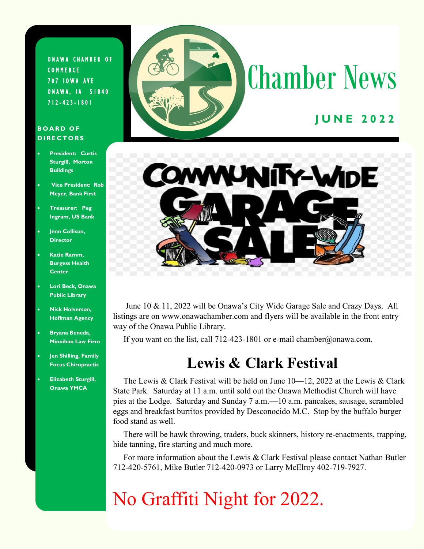ONAWA CHAMBER OF C O M M E R C E 707 IOWA AVE O N A W A, IA 51040 712 - 4 2 3 - 1801

#### **B O A R D O F D I R E C T O R S**

- **President: Curtis Sturgill, Morton Buildings**
- **Vice President: Rob Meyer, Bank First**
- **Treasurer: Peg Ingram, US Bank**
- **Jenn Collison, Director**
- **Katie Ramm, Burgess Health Center**
- **Lori Beck, Onawa Public Library**
- **Nick Holverson, Hoffman Agency**
- **Bryana Beneda, Minnihan Law Firm**
- **Jen Shilling, Family Focus Chiropractic**
- **Elizabeth Sturgill, Onawa YMCA**





 June 10 & 11, 2022 will be Onawa's City Wide Garage Sale and Crazy Days. All listings are on www.onawachamber.com and flyers will be available in the front entry way of the Onawa Public Library.

If you want on the list, call 712-423-1801 or e-mail chamber@onawa.com.

### **Lewis & Clark Festival**

The Lewis & Clark Festival will be held on June  $10-12$ , 2022 at the Lewis & Clark State Park. Saturday at 11 a.m. until sold out the Onawa Methodist Church will have pies at the Lodge. Saturday and Sunday 7 a.m.—10 a.m. pancakes, sausage, scrambled eggs and breakfast burritos provided by Desconocido M.C. Stop by the buffalo burger food stand as well.

 There will be hawk throwing, traders, buck skinners, history re-enactments, trapping, hide tanning, fire starting and much more.

 For more information about the Lewis & Clark Festival please contact Nathan Butler 712-420-5761, Mike Butler 712-420-0973 or Larry McElroy 402-719-7927.

# No Graffiti Night for 2022.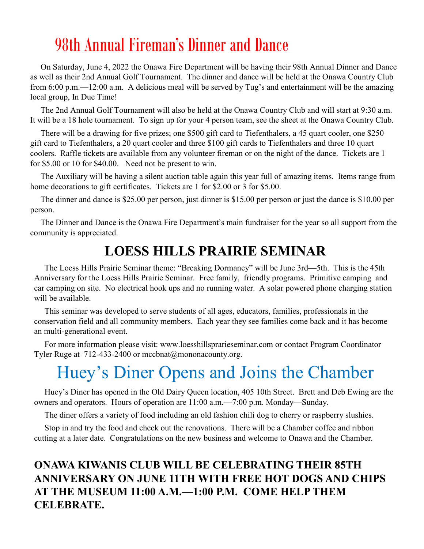## 98th Annual Fireman's Dinner and Dance

 On Saturday, June 4, 2022 the Onawa Fire Department will be having their 98th Annual Dinner and Dance as well as their 2nd Annual Golf Tournament. The dinner and dance will be held at the Onawa Country Club from 6:00 p.m.—12:00 a.m. A delicious meal will be served by Tug's and entertainment will be the amazing local group, In Due Time!

 The 2nd Annual Golf Tournament will also be held at the Onawa Country Club and will start at 9:30 a.m. It will be a 18 hole tournament. To sign up for your 4 person team, see the sheet at the Onawa Country Club.

 There will be a drawing for five prizes; one \$500 gift card to Tiefenthalers, a 45 quart cooler, one \$250 gift card to Tiefenthalers, a 20 quart cooler and three \$100 gift cards to Tiefenthalers and three 10 quart coolers. Raffle tickets are available from any volunteer fireman or on the night of the dance. Tickets are 1 for \$5.00 or 10 for \$40.00. Need not be present to win.

 The Auxiliary will be having a silent auction table again this year full of amazing items. Items range from home decorations to gift certificates. Tickets are 1 for \$2.00 or 3 for \$5.00.

 The dinner and dance is \$25.00 per person, just dinner is \$15.00 per person or just the dance is \$10.00 per person.

The Dinner and Dance is the Onawa Fire Department's main fundraiser for the year so all support from the *interesting sentence or quote from the story*  community is appreciated.

### **LOESS HILLS PRAIRIE SEMINAR**

 The Loess Hills Prairie Seminar theme: "Breaking Dormancy" will be June 3rd—5th. This is the 45th Anniversary for the Loess Hills Prairie Seminar. Free family, friendly programs. Primitive camping and car camping on site. No electrical hook ups and no running water. A solar powered phone charging station will be available.

 This seminar was developed to serve students of all ages, educators, families, professionals in the conservation field and all community members. Each year they see families come back and it has become an multi-generational event.

 For more information please visit: www.loesshillsprarieseminar.com or contact Program Coordinator Tyler Ruge at 712-433-2400 or mccbnat@mononacounty.org.

## Huey's Diner Opens and Joins the Chamber

 Huey's Diner has opened in the Old Dairy Queen location, 405 10th Street. Brett and Deb Ewing are the owners and operators. Hours of operation are 11:00 a.m.—7:00 p.m. Monday—Sunday.

The diner offers a variety of food including an old fashion chili dog to cherry or raspberry slushies.

 Stop in and try the food and check out the renovations. There will be a Chamber coffee and ribbon cutting at a later date. Congratulations on the new business and welcome to Onawa and the Chamber.

#### **ONAWA KIWANIS CLUB WILL BE CELEBRATING THEIR 85TH ANNIVERSARY ON JUNE 11TH WITH FREE HOT DOGS AND CHIPS AT THE MUSEUM 11:00 A.M.—1:00 P.M. COME HELP THEM CELEBRATE.**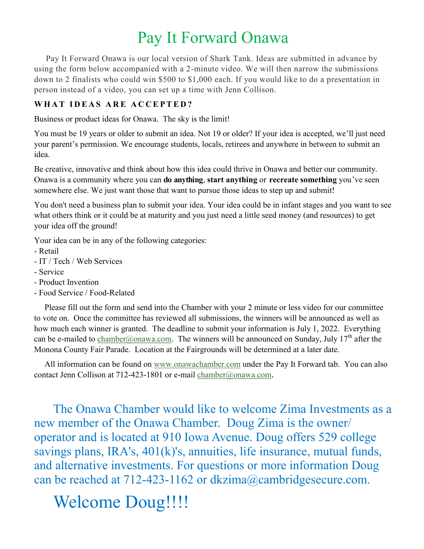### Pay It Forward Onawa

 Pay It Forward Onawa is our local version of Shark Tank. Ideas are submitted in advance by using the form below accompanied with a 2-minute video. We will then narrow the submissions down to 2 finalists who could win \$500 to \$1,000 each. If you would like to do a presentation in person instead of a video, you can set up a time with Jenn Collison.

#### WHAT IDEAS ARE ACCEPTED?

Business or product ideas for Onawa. The sky is the limit!

You must be 19 years or older to submit an idea. Not 19 or older? If your idea is accepted, we'll just need your parent's permission. We encourage students, locals, retirees and anywhere in between to submit an idea.

Be creative, innovative and think about how this idea could thrive in Onawa and better our community. Onawa is a community where you can **do anything**, **start anything** or **recreate something** you've seen somewhere else. We just want those that want to pursue those ideas to step up and submit!

You don't need a business plan to submit your idea. Your idea could be in infant stages and you want to see what others think or it could be at maturity and you just need a little seed money (and resources) to get your idea off the ground!

Your idea can be in any of the following categories:

- Retail
- IT / Tech / Web Services
- Service
- Product Invention
- Food Service / Food-Related

 Please fill out the form and send into the Chamber with your 2 minute or less video for our committee to vote on. Once the committee has reviewed all submissions, the winners will be announced as well as how much each winner is granted. The deadline to submit your information is July 1, 2022. Everything can be e-mailed to [chamber@onawa.com.](mailto:chamber@onawa.com) The winners will be announced on Sunday, July 17<sup>th</sup> after the Monona County Fair Parade. Location at the Fairgrounds will be determined at a later date.

All information can be found on [www.onawachamber.com](http://www.onawachamber.com) under the Pay It Forward tab. You can also contact Jenn Collison at 712-423-1801 or e-mail [chamber@onawa.com](mailto:chamber@onawa.com).

 The Onawa Chamber would like to welcome Zima Investments as a new member of the Onawa Chamber. Doug Zima is the owner/ operator and is located at 910 Iowa Avenue. Doug offers 529 college savings plans, IRA's, 401(k)'s, annuities, life insurance, mutual funds, and alternative investments. For questions or more information Doug can be reached at 712-423-1162 or dkzima@cambridgesecure.com.

Welcome Doug!!!!